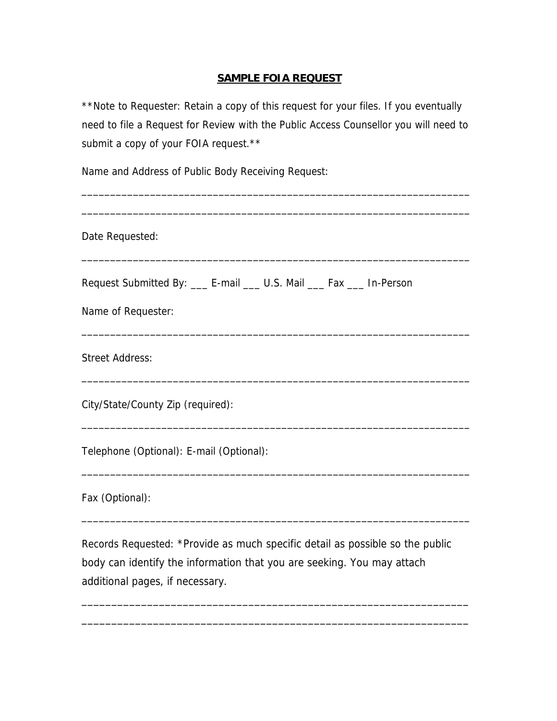## **SAMPLE FOIA REQUEST**

\*\*Note to Requester: Retain a copy of this request for your files. If you eventually need to file a Request for Review with the Public Access Counsellor you will need to submit a copy of your FOIA request.\*\*

\_\_\_\_\_\_\_\_\_\_\_\_\_\_\_\_\_\_\_\_\_\_\_\_\_\_\_\_\_\_\_\_\_\_\_\_\_\_\_\_\_\_\_\_\_\_\_\_\_\_\_\_\_\_\_\_\_\_\_\_\_\_\_\_\_\_\_\_

Name and Address of Public Body Receiving Request:

| Date Requested:                                                               |
|-------------------------------------------------------------------------------|
| Request Submitted By: ___ E-mail ___ U.S. Mail ___ Fax ___ In-Person          |
| Name of Requester:                                                            |
| <b>Street Address:</b>                                                        |
| City/State/County Zip (required):                                             |
| Telephone (Optional): E-mail (Optional):                                      |
| Fax (Optional):                                                               |
| Records Requested: *Provide as much specific detail as possible so the public |

body can identify the information that you are seeking. You may attach additional pages, if necessary.

\_\_\_\_\_\_\_\_\_\_\_\_\_\_\_\_\_\_\_\_\_\_\_\_\_\_\_\_\_\_\_\_\_\_\_\_\_\_\_\_\_\_\_\_\_\_\_\_\_\_\_\_\_\_\_\_\_\_\_\_\_\_\_\_\_

\_\_\_\_\_\_\_\_\_\_\_\_\_\_\_\_\_\_\_\_\_\_\_\_\_\_\_\_\_\_\_\_\_\_\_\_\_\_\_\_\_\_\_\_\_\_\_\_\_\_\_\_\_\_\_\_\_\_\_\_\_\_\_\_\_